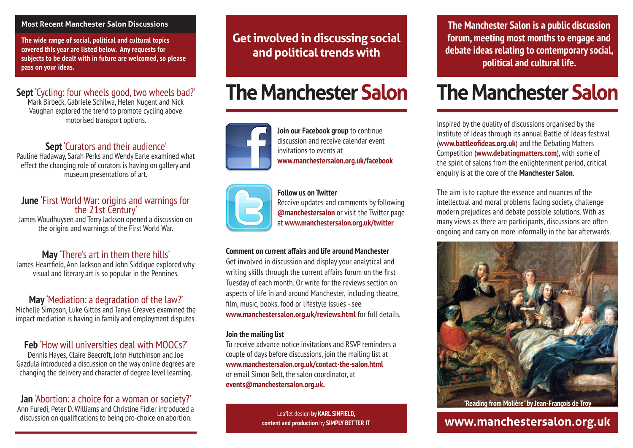#### **Most Recent Manchester Salon Discussions**

**The wide range of social, political and cultural topics covered this year are listed below. Any requests for subjects to be dealt with in future are welcomed, so please pass on your ideas.**

# **Sept** 'Cycling: four wheels good, two wheels bad?'

Mark Birbeck, Gabriele Schilwa, Helen Nugent and Nick Vaughan explored the trend to promote cycling above motorised transport options.

### **Sept** 'Curators and their audience'

Pauline Hadaway, Sarah Perks and Wendy Earle examined what effect the changing role of curators is having on gallery and museum presentations of art.

# **June** 'First World War: origins and warnings for the 21st Century'

James Woudhuysen and Terry Jackson opened a discussion on the origins and warnings of the First World War.

# **May** 'There's art in them there hills'

James Heartfield, Ann Jackson and John Siddique explored why visual and literary art is so popular in the Pennines.

# **May** 'Mediation: a degradation of the law?'

Michelle Simpson, Luke Gittos and Tanya Greaves examined the impact mediation is having in family and employment disputes.

# **Feb** 'How will universities deal with MOOCs?'

Dennis Hayes, Claire Beecroft, John Hutchinson and Joe Gazdula introduced a discussion on the way online degrees are changing the delivery and character of degree level learning.

# **Jan** 'Abortion: a choice for a woman or society?'

Ann Furedi, Peter D. Williams and Christine Fidler introduced a discussion on qualifications to being pro-choice on abortion.

**Get involved in discussing social and political trends with**

# **The Manchester Salon**

invitations to events at

**Join our Facebook group** to continue discussion and receive calendar event

**www.manchestersalon.org.uk/facebook**



**Follow us on Twitter** Receive updates and comments by following **@manchestersalon** or visit the Twitter page at **www.manchestersalon.org.uk/twitter**

#### **Comment on current affairs and life around Manchester**

Get involved in discussion and display your analytical and writing skills through the current affairs forum on the first Tuesday of each month. Or write for the reviews section on aspects of life in and around Manchester, including theatre, film, music, books, food or lifestyle issues - see **www.manchestersalon.org.uk/reviews.html** for full details.

#### **Join the mailing list**

To receive advance notice invitations and RSVP reminders a couple of days before discussions, join the mailing list at **www.manchestersalon.org.uk/contact-the-salon.html** or email Simon Belt, the salon coordinator, at **events@manchestersalon.org.uk.**

> Leaflet design **by KARL SINFIELD, content and production** by **SIMPLY BETTER IT**

**The Manchester Salon is a public discussion forum, meeting most months to engage and debate ideas relating to contemporary social, political and cultural life.**

# **The Manchester Salon**

Inspired by the quality of discussions organised by the Institute of Ideas through its annual Battle of Ideas festival (**www.battleofideas.org.uk**) and the Debating Matters Competition (**www.debatingmatters.com**), with some of the spirit of salons from the enlightenment period, critical enquiry is at the core of the **Manchester Salon**.

The aim is to capture the essence and nuances of the intellectual and moral problems facing society, challenge modern prejudices and debate possible solutions. With as many views as there are participants, discussions are often ongoing and carry on more informally in the bar afterwards.



**"Reading from Molière" by Jean-François de Troy**

# **www.manchestersalon.org.uk**